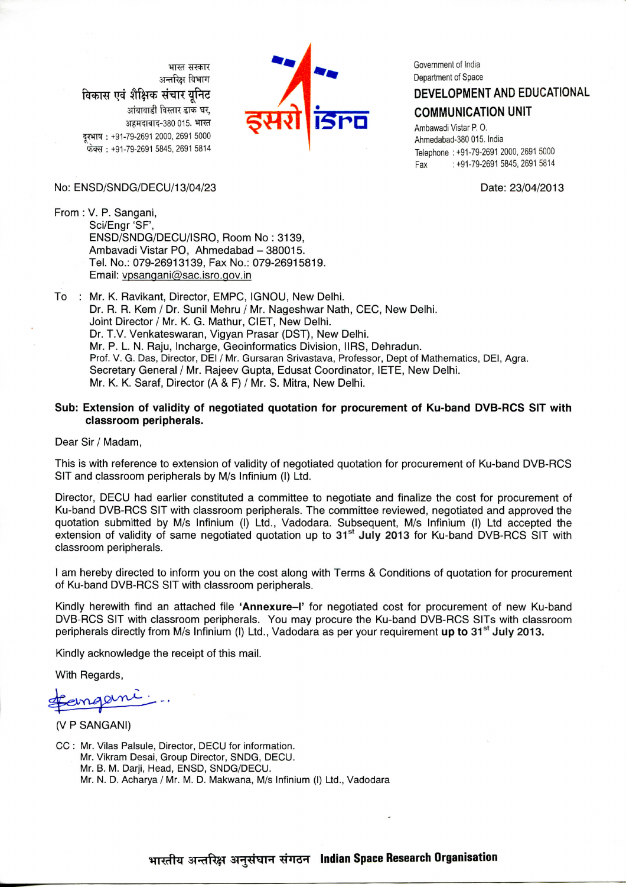भाग्न संस्कार अन्तरिक्ष विभाग विकास एवं शैक्षिक संचार युनिट आंबावाडी विस्तार डाक घर, अहमदाबाद-380 015. भारत दरभाष: +91-79-2691 2000, 2691 5000 फेक्स: +91-79-2691 5845, 2691 5814



Government of India Department of Space

## DEVELOPMENT AND EDUCATIONAL

#### **COMMUNICATION UNIT**

Ambawadi Vistar P.O. Ahmedabad-380 015. India Telephone: +91-79-2691 2000, 2691 5000 : +91-79-2691 5845, 2691 5814 Fax

Date: 23/04/2013

#### No: ENSD/SNDG/DECU/13/04/23

From: V. P. Sangani, Sci/Engr 'SF', ENSD/SNDG/DECU/ISRO, Room No: 3139. Ambavadi Vistar PO, Ahmedabad - 380015. Tel. No.: 079-26913139, Fax No.: 079-26915819. Email: vpsangani@sac.isro.gov.in

To : Mr. K. Ravikant, Director, EMPC, IGNOU, New Delhi. Dr. R. R. Kem / Dr. Sunil Mehru / Mr. Nageshwar Nath, CEC, New Delhi. Joint Director / Mr. K. G. Mathur, CIET, New Delhi. Dr. T.V. Venkateswaran, Vigyan Prasar (DST), New Delhi. Mr. P. L. N. Raiu, Incharge, Geoinformatics Division, IIRS, Dehradun, Prof. V. G. Das, Director, DEI / Mr. Gursaran Srivastava, Professor, Dept of Mathematics, DEI, Agra. Secretary General / Mr. Rajeev Gupta, Edusat Coordinator, IETE, New Delhi. Mr. K. K. Saraf, Director (A & F) / Mr. S. Mitra, New Delhi.

#### Sub: Extension of validity of negotiated quotation for procurement of Ku-band DVB-RCS SIT with classroom peripherals.

Dear Sir / Madam,

This is with reference to extension of validity of negotiated quotation for procurement of Ku-band DVB-RCS SIT and classroom peripherals by M/s Infinium (I) Ltd.

Director, DECU had earlier constituted a committee to negotiate and finalize the cost for procurement of Ku-band DVB-RCS SIT with classroom peripherals. The committee reviewed, negotiated and approved the quotation submitted by M/s Infinium (I) Ltd., Vadodara. Subsequent, M/s Infinium (I) Ltd accepted the extension of validity of same negotiated quotation up to 31<sup>st</sup> July 2013 for Ku-band DVB-RCS SIT with classroom peripherals.

I am hereby directed to inform you on the cost along with Terms & Conditions of quotation for procurement of Ku-band DVB-RCS SIT with classroom peripherals.

Kindly herewith find an attached file 'Annexure-I' for negotiated cost for procurement of new Ku-band DVB-RCS SIT with classroom peripherals. You may procure the Ku-band DVB-RCS SITs with classroom peripherals directly from M/s Infinium (I) Ltd., Vadodara as per your requirement up to 31<sup>st</sup> July 2013.

Kindly acknowledge the receipt of this mail.

With Regards,

aem

(V P SANGANI)

CC: Mr. Vilas Palsule. Director. DECU for information. Mr. Vikram Desai, Group Director, SNDG, DECU. Mr. B. M. Darji, Head, ENSD, SNDG/DECU. Mr. N. D. Acharya / Mr. M. D. Makwana, M/s Infinium (I) Ltd., Vadodara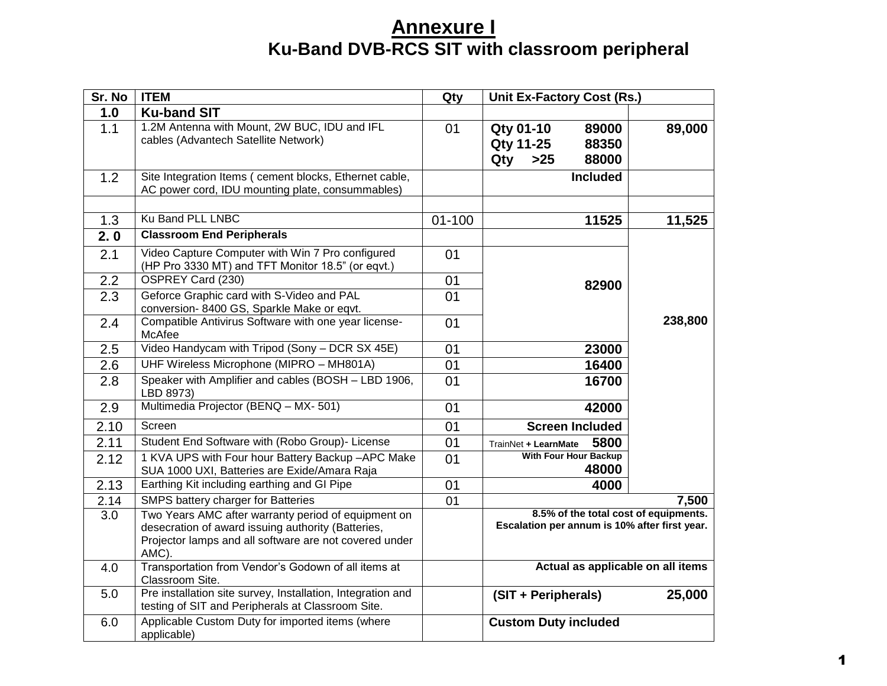# **Annexure I Ku-Band DVB-RCS SIT with classroom peripheral**

| Sr. No | <b>ITEM</b>                                                                                                                                                                  | Qty             | Unit Ex-Factory Cost (Rs.)                                                             |         |
|--------|------------------------------------------------------------------------------------------------------------------------------------------------------------------------------|-----------------|----------------------------------------------------------------------------------------|---------|
| 1.0    | <b>Ku-band SIT</b>                                                                                                                                                           |                 |                                                                                        |         |
| 1.1    | 1.2M Antenna with Mount, 2W BUC, IDU and IFL<br>cables (Advantech Satellite Network)                                                                                         | 01              | <b>Qty 01-10</b><br>89000<br><b>Qty 11-25</b><br>88350<br>$>25$<br>88000<br>Qty        | 89,000  |
| 1.2    | Site Integration Items ( cement blocks, Ethernet cable,<br>AC power cord, IDU mounting plate, consummables)                                                                  |                 | <b>Included</b>                                                                        |         |
| 1.3    | Ku Band PLL LNBC                                                                                                                                                             | $01 - 100$      | 11525                                                                                  | 11,525  |
| 2.0    | <b>Classroom End Peripherals</b>                                                                                                                                             |                 |                                                                                        |         |
| 2.1    | Video Capture Computer with Win 7 Pro configured<br>(HP Pro 3330 MT) and TFT Monitor 18.5" (or eqvt.)                                                                        | 01              |                                                                                        |         |
| 2.2    | OSPREY Card (230)                                                                                                                                                            | 01              | 82900                                                                                  |         |
| 2.3    | Geforce Graphic card with S-Video and PAL<br>conversion-8400 GS, Sparkle Make or eqvt.                                                                                       | 01              |                                                                                        |         |
| 2.4    | Compatible Antivirus Software with one year license-<br>McAfee                                                                                                               | 01              |                                                                                        | 238,800 |
| 2.5    | Video Handycam with Tripod (Sony - DCR SX 45E)                                                                                                                               | 01              | 23000                                                                                  |         |
| 2.6    | UHF Wireless Microphone (MIPRO - MH801A)                                                                                                                                     | 01              | 16400                                                                                  |         |
| 2.8    | Speaker with Amplifier and cables (BOSH - LBD 1906,<br>LBD 8973)                                                                                                             | 01              | 16700                                                                                  |         |
| 2.9    | Multimedia Projector (BENQ - MX- 501)                                                                                                                                        | 01              | 42000                                                                                  |         |
| 2.10   | Screen                                                                                                                                                                       | 01              | <b>Screen Included</b>                                                                 |         |
| 2.11   | Student End Software with (Robo Group)- License                                                                                                                              | 01              | 5800<br>TrainNet + LearnMate                                                           |         |
| 2.12   | 1 KVA UPS with Four hour Battery Backup -APC Make<br>SUA 1000 UXI, Batteries are Exide/Amara Raja                                                                            | 01              | <b>With Four Hour Backup</b><br>48000                                                  |         |
| 2.13   | Earthing Kit including earthing and GI Pipe                                                                                                                                  | 01              | 4000                                                                                   |         |
| 2.14   | SMPS battery charger for Batteries                                                                                                                                           | $\overline{01}$ |                                                                                        | 7,500   |
| 3.0    | Two Years AMC after warranty period of equipment on<br>desecration of award issuing authority (Batteries,<br>Projector lamps and all software are not covered under<br>AMC). |                 | 8.5% of the total cost of equipments.<br>Escalation per annum is 10% after first year. |         |
| 4.0    | Transportation from Vendor's Godown of all items at<br>Classroom Site.                                                                                                       |                 | Actual as applicable on all items                                                      |         |
| 5.0    | Pre installation site survey, Installation, Integration and<br>testing of SIT and Peripherals at Classroom Site.                                                             |                 | (SIT + Peripherals)                                                                    | 25,000  |
| 6.0    | Applicable Custom Duty for imported items (where<br>applicable)                                                                                                              |                 | <b>Custom Duty included</b>                                                            |         |